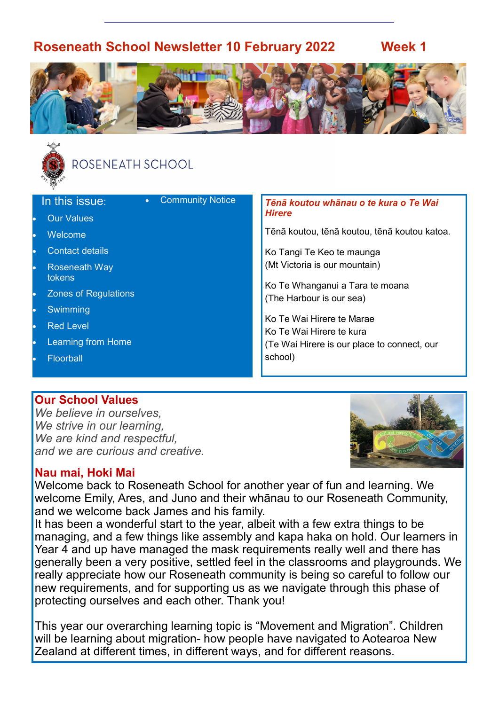## **Roseneath School Newsletter 10 February 2022 Week 1**







# ROSENEATH SCHOOL

| <b>Community Notice</b><br>In this issue:<br>$\bullet$ | Tēnā koutou whānau o te kura o Te Wai        |
|--------------------------------------------------------|----------------------------------------------|
| <b>Our Values</b>                                      | <b>Hirere</b>                                |
| Welcome<br>$\bullet$                                   | Tēnā koutou, tēnā koutou, tēnā koutou katoa. |
| <b>Contact details</b>                                 | Ko Tangi Te Keo te maunga                    |
| <b>Roseneath Way</b><br>tokens                         | (Mt Victoria is our mountain)                |
| <b>Zones of Regulations</b><br>$\bullet$               | Ko Te Whanganui a Tara te moana              |
|                                                        | (The Harbour is our sea)                     |
| Swimming                                               | Ko Te Wai Hirere te Marae                    |
| <b>Red Level</b>                                       | Ko Te Wai Hirere te kura                     |
| Learning from Home                                     | (Te Wai Hirere is our place to connect, our  |
| Floorball                                              | school)                                      |
|                                                        |                                              |

#### **Our School Values**

*We believe in ourselves, We strive in our learning, We are kind and respectful, and we are curious and creative.*



#### **Nau mai, Hoki Mai**

Welcome back to Roseneath School for another year of fun and learning. We welcome Emily, Ares, and Juno and their whānau to our Roseneath Community, and we welcome back James and his family.

It has been a wonderful start to the year, albeit with a few extra things to be managing, and a few things like assembly and kapa haka on hold. Our learners in Year 4 and up have managed the mask requirements really well and there has generally been a very positive, settled feel in the classrooms and playgrounds. We really appreciate how our Roseneath community is being so careful to follow our new requirements, and for supporting us as we navigate through this phase of protecting ourselves and each other. Thank you!

This year our overarching learning topic is "Movement and Migration". Children will be learning about migration- how people have navigated to Aotearoa New Zealand at different times, in different ways, and for different reasons.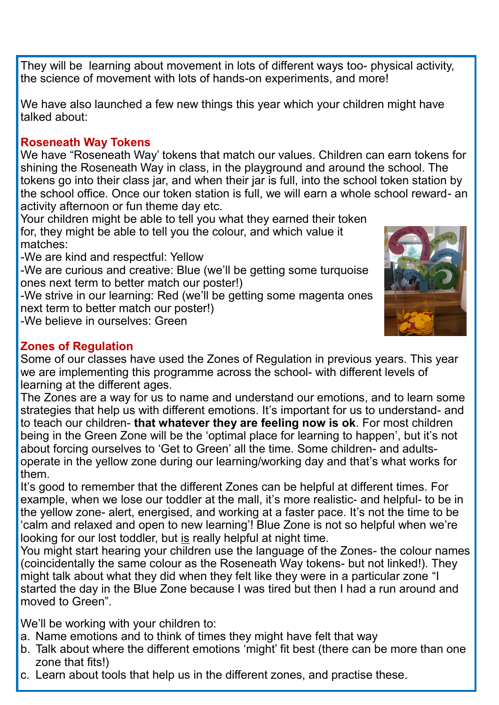They will be learning about movement in lots of different ways too- physical activity, the science of movement with lots of hands-on experiments, and more!

We have also launched a few new things this year which your children might have talked about:

#### **Roseneath Way Tokens**

We have "Roseneath Way' tokens that match our values. Children can earn tokens for shining the Roseneath Way in class, in the playground and around the school. The tokens go into their class jar, and when their jar is full, into the school token station by the school office. Once our token station is full, we will earn a whole school reward- an activity afternoon or fun theme day etc.

Your children might be able to tell you what they earned their token for, they might be able to tell you the colour, and which value it matches:

-We are kind and respectful: Yellow

-We are curious and creative: Blue (we'll be getting some turquoise ones next term to better match our poster!)

-We strive in our learning: Red (we'll be getting some magenta ones next term to better match our poster!)

-We believe in ourselves: Green



## **Zones of Regulation**

Some of our classes have used the Zones of Regulation in previous years. This year we are implementing this programme across the school- with different levels of learning at the different ages.

The Zones are a way for us to name and understand our emotions, and to learn some strategies that help us with different emotions. It's important for us to understand- and to teach our children- **that whatever they are feeling now is ok**. For most children being in the Green Zone will be the 'optimal place for learning to happen', but it's not about forcing ourselves to 'Get to Green' all the time. Some children- and adultsoperate in the yellow zone during our learning/working day and that's what works for them.

It's good to remember that the different Zones can be helpful at different times. For example, when we lose our toddler at the mall, it's more realistic- and helpful- to be in the yellow zone- alert, energised, and working at a faster pace. It's not the time to be 'calm and relaxed and open to new learning'! Blue Zone is not so helpful when we're looking for our lost toddler, but is really helpful at night time.

You might start hearing your children use the language of the Zones- the colour names (coincidentally the same colour as the Roseneath Way tokens- but not linked!). They might talk about what they did when they felt like they were in a particular zone "I started the day in the Blue Zone because I was tired but then I had a run around and moved to Green".

We'll be working with your children to:

- a. Name emotions and to think of times they might have felt that way
- b. Talk about where the different emotions 'might' fit best (there can be more than one zone that fits!)
- c. Learn about tools that help us in the different zones, and practise these.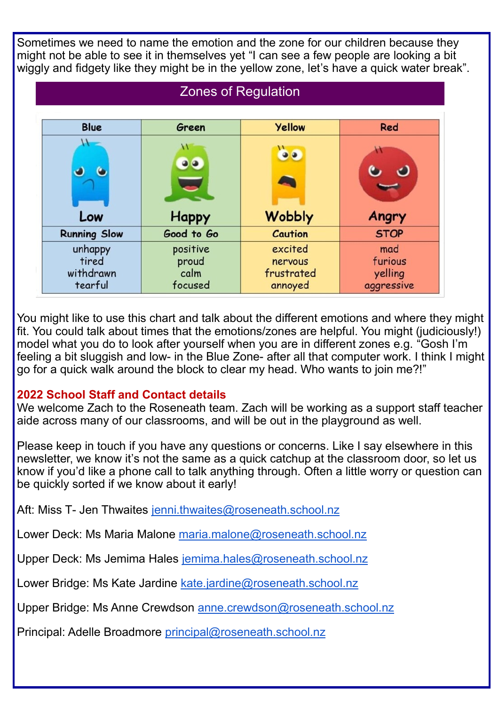Sometimes we need to name the emotion and the zone for our children because they might not be able to see it in themselves yet "I can see a few people are looking a bit wiggly and fidgety like they might be in the yellow zone, let's have a quick water break".

# Zones of Regulation

| <b>Blue</b>                              | Green                                | <b>Yellow</b>                               | Red                                     |
|------------------------------------------|--------------------------------------|---------------------------------------------|-----------------------------------------|
|                                          | W<br>$\bullet$                       | $\bullet$                                   |                                         |
| Low                                      | <b>Happy</b>                         | <b>Wobbly</b>                               | Angry                                   |
| <b>Running Slow</b>                      | Good to Go                           | <b>Caution</b>                              | <b>STOP</b>                             |
| unhappy<br>tired<br>withdrawn<br>tearful | positive<br>proud<br>calm<br>focused | excited<br>nervous<br>frustrated<br>annoyed | mad<br>furious<br>yelling<br>aggressive |

You might like to use this chart and talk about the different emotions and where they might fit. You could talk about times that the emotions/zones are helpful. You might (judiciously!) model what you do to look after yourself when you are in different zones e.g. "Gosh I'm feeling a bit sluggish and low- in the Blue Zone- after all that computer work. I think I might go for a quick walk around the block to clear my head. Who wants to join me?!"

### **2022 School Staff and Contact details**

We welcome Zach to the Roseneath team. Zach will be working as a support staff teacher aide across many of our classrooms, and will be out in the playground as well.

Please keep in touch if you have any questions or concerns. Like I say elsewhere in this newsletter, we know it's not the same as a quick catchup at the classroom door, so let us know if you'd like a phone call to talk anything through. Often a little worry or question can be quickly sorted if we know about it early!

Aft: Miss T- Jen Thwaites [jenni.thwaites@roseneath.school.nz](mailto:jenni.thwaites@roseneath.school.nz)

Lower Deck: Ms Maria Malone [maria.malone@roseneath.school.nz](mailto:maria.malone@roseneath.school.nz)

Upper Deck: Ms Jemima Hales <u>jemima.hales@roseneath.school.nz</u>

**each other**  Lower Bridge: Ms Kate Jardine [kate.jardine@roseneath.school.nz](mailto:kate.jardine@roseneath.school.nz)

Upper Bridge: Ms Anne Crewdson [anne.crewdson@roseneath.school.nz](mailto:anne.crewdson@roseneath.school.nz)

Principal: Adelle Broadmore [principal@roseneath.school.nz](mailto:principal@roseneath.school.nz)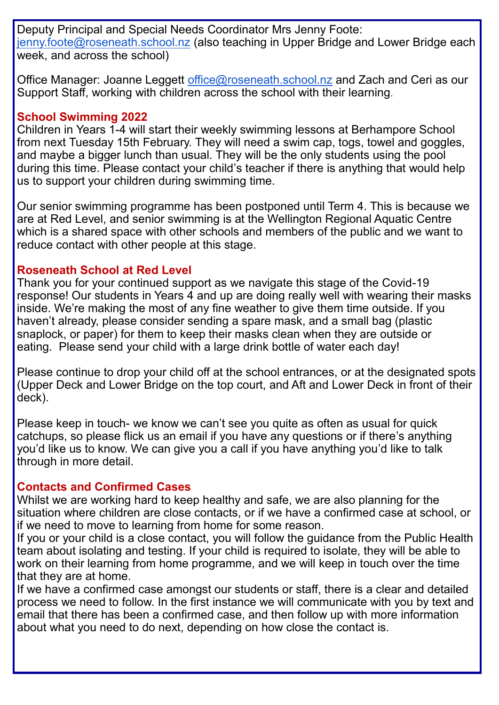Deputy Principal and Special Needs Coordinator Mrs Jenny Foote: [jenny.foote@roseneath.school.nz](mailto:jenny.foote@roseneath.school.nz) (also teaching in Upper Bridge and Lower Bridge each week, and across the school)

Office Manager: Joanne Leggett [office@roseneath.school.nz](mailto:office@roseneath.school.nz) and Zach and Ceri as our Support Staff, working with children across the school with their learning.

#### **School Swimming 2022**

Children in Years 1-4 will start their weekly swimming lessons at Berhampore School from next Tuesday 15th February. They will need a swim cap, togs, towel and goggles, and maybe a bigger lunch than usual. They will be the only students using the pool during this time. Please contact your child's teacher if there is anything that would help us to support your children during swimming time.

Our senior swimming programme has been postponed until Term 4. This is because we are at Red Level, and senior swimming is at the Wellington Regional Aquatic Centre which is a shared space with other schools and members of the public and we want to reduce contact with other people at this stage.

### **Roseneath School at Red Level**

Thank you for your continued support as we navigate this stage of the Covid-19 response! Our students in Years 4 and up are doing really well with wearing their masks inside. We're making the most of any fine weather to give them time outside. If you haven't already, please consider sending a spare mask, and a small bag (plastic snaplock, or paper) for them to keep their masks clean when they are outside or eating. Please send your child with a large drink bottle of water each day!

Please continue to drop your child off at the school entrances, or at the designated spots (Upper Deck and Lower Bridge on the top court, and Aft and Lower Deck in front of their deck).

Please keep in touch- we know we can't see you quite as often as usual for quick catchups, so please flick us an email if you have any questions or if there's anything you'd like us to know. We can give you a call if you have anything you'd like to talk through in more detail.

### **Contacts and Confirmed Cases**

Whilst we are working hard to keep healthy and safe, we are also planning for the situation where children are close contacts, or if we have a confirmed case at school, or if we need to move to learning from home for some reason.

If you or your child is a close contact, you will follow the guidance from the Public Health team about isolating and testing. If your child is required to isolate, they will be able to work on their learning from home programme, and we will keep in touch over the time that they are at home.

If we have a confirmed case amongst our students or staff, there is a clear and detailed process we need to follow. In the first instance we will communicate with you by text and email that there has been a confirmed case, and then follow up with more information about what you need to do next, depending on how close the contact is.